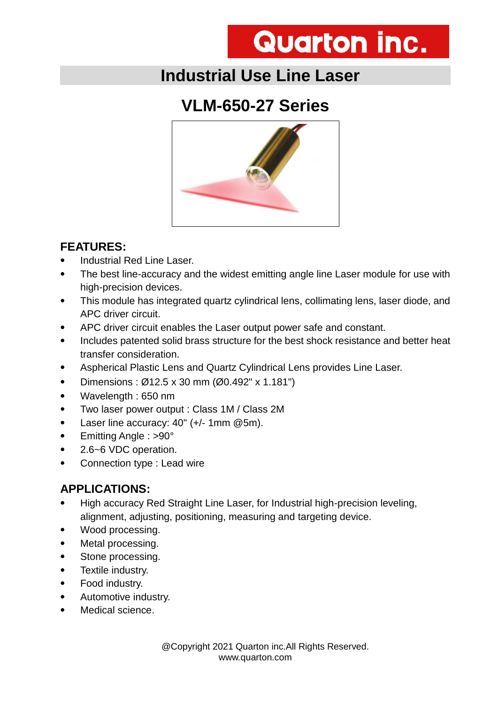## **Industrial Use Line Laser**

## **VLM-650-27 Series**



#### **FEATURES:**

- Industrial Red Line Laser.
- The best line-accuracy and the widest emitting angle line Laser module for use with high-precision devices.
- This module has integrated quartz cylindrical lens, collimating lens, laser diode, and APC driver circuit.
- APC driver circuit enables the Laser output power safe and constant.
- Includes patented solid brass structure for the best shock resistance and better heat transfer consideration.
- Aspherical Plastic Lens and Quartz Cylindrical Lens provides Line Laser.
- Dimensions :  $\varnothing$ 12.5 x 30 mm ( $\varnothing$ 0.492" x 1.181")
- Wavelength : 650 nm
- Two laser power output : Class 1M / Class 2M
- Laser line accuracy: 40" (+/- 1mm @5m).
- Emitting Angle : >90°
- 2.6~6 VDC operation.
- Connection type : Lead wire

#### **APPLICATIONS:**

- High accuracy Red Straight Line Laser, for Industrial high-precision leveling, alignment, adjusting, positioning, measuring and targeting device.
- Wood processing.
- Metal processing.
- Stone processing.
- Textile industry.
- Food industry.
- Automotive industry.
- Medical science.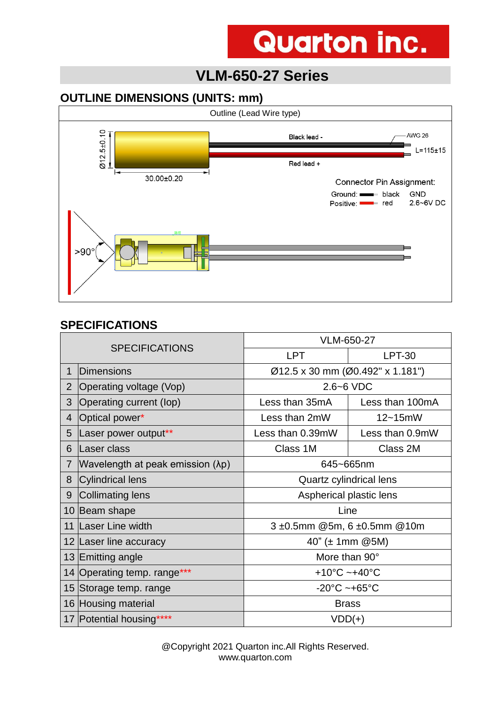### **VLM-650-27 Series**

#### **OUTLINE DIMENSIONS (UNITS: mm)**



#### **SPECIFICATIONS**

| <b>SPECIFICATIONS</b> |                                  | VLM-650-27                         |                 |  |
|-----------------------|----------------------------------|------------------------------------|-----------------|--|
|                       |                                  | <b>LPT</b>                         | <b>LPT-30</b>   |  |
| 1                     | Dimensions                       | Ø12.5 x 30 mm (Ø0.492" x 1.181")   |                 |  |
| $\overline{2}$        | Operating voltage (Vop)          | $2.6 - 6$ VDC                      |                 |  |
| 3                     | Operating current (lop)          | Less than 35mA                     | Less than 100mA |  |
| 4                     | Optical power*                   | Less than 2mW                      | $12 - 15$ mW    |  |
| 5                     | Laser power output**             | Less than 0.39mW                   | Less than 0.9mW |  |
| 6                     | Laser class                      | Class 1M                           | Class 2M        |  |
| $\overline{7}$        | Wavelength at peak emission (λp) | 645~665nm                          |                 |  |
| 8                     | Cylindrical lens                 | Quartz cylindrical lens            |                 |  |
| 9                     | Collimating lens                 | Aspherical plastic lens            |                 |  |
|                       | 10 Beam shape                    | Line                               |                 |  |
|                       | 11 Laser Line width              | 3 ±0.5mm @5m, 6 ±0.5mm @10m        |                 |  |
|                       | 12 Laser line accuracy           | 40" ( $\pm$ 1mm @5M)               |                 |  |
|                       | 13 Emitting angle                | More than 90°                      |                 |  |
|                       | 14 Operating temp. range***      | +10 $^{\circ}$ C ~+40 $^{\circ}$ C |                 |  |
|                       | 15 Storage temp. range           | $-20^{\circ}$ C ~+65 $^{\circ}$ C  |                 |  |
|                       | 16 Housing material              | <b>Brass</b>                       |                 |  |
|                       | 17 Potential housing****         | $VDD(+)$                           |                 |  |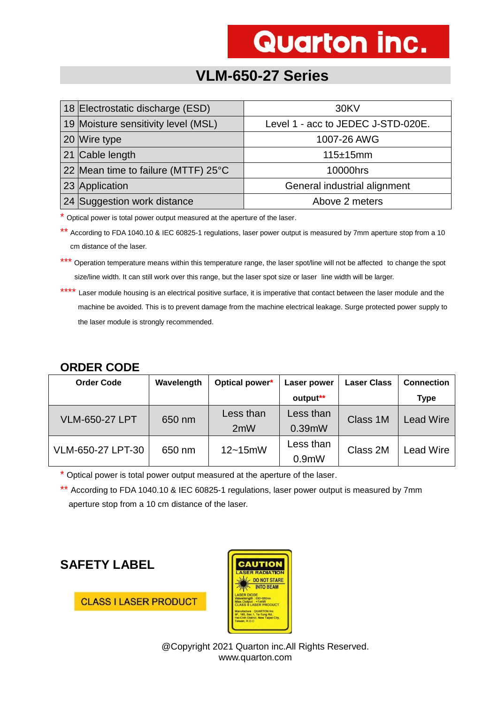### **VLM-650-27 Series**

| 18 Electrostatic discharge (ESD)    | 30KV                               |  |
|-------------------------------------|------------------------------------|--|
| 19 Moisture sensitivity level (MSL) | Level 1 - acc to JEDEC J-STD-020E. |  |
| 20 Wire type                        | 1007-26 AWG                        |  |
| 21 Cable length                     | 115±15mm                           |  |
| 22 Mean time to failure (MTTF) 25°C | 10000hrs                           |  |
| 23 Application                      | General industrial alignment       |  |
| 24 Suggestion work distance         | Above 2 meters                     |  |

\* Optical power is total power output measured at the aperture of the laser.

\*\* According to FDA 1040.10 & IEC 60825-1 regulations, laser power output is measured by 7mm aperture stop from a 10 cm distance of the laser.

\*\*\* Operation temperature means within this temperature range, the laser spot/line will not be affected to change the spot size/line width. It can still work over this range, but the laser spot size or laser line width will be larger.

\*\*\*\* Laser module housing is an electrical positive surface, it is imperative that contact between the laser module and the machine be avoided. This is to prevent damage from the machine electrical leakage. Surge protected power supply to the laser module is strongly recommended.

#### **ORDER CODE**

| <b>Order Code</b>     | Wavelength | Optical power* | Laser power | <b>Laser Class</b> | <b>Connection</b> |
|-----------------------|------------|----------------|-------------|--------------------|-------------------|
|                       |            |                | output**    |                    | <b>Type</b>       |
| <b>VLM-650-27 LPT</b> | 650 nm     | Less than      | Less than   | Class 1M           | <b>Lead Wire</b>  |
|                       |            | 2mW            | 0.39mW      |                    |                   |
| VLM-650-27 LPT-30     | 650 nm     | $12 - 15$ mW   | Less than   | Class 2M           | <b>Lead Wire</b>  |
|                       |            |                | $0.9m$ W    |                    |                   |

\* Optical power is total power output measured at the aperture of the laser.

\*\* According to FDA 1040.10 & IEC 60825-1 regulations, laser power output is measured by 7mm aperture stop from a 10 cm distance of the laser.